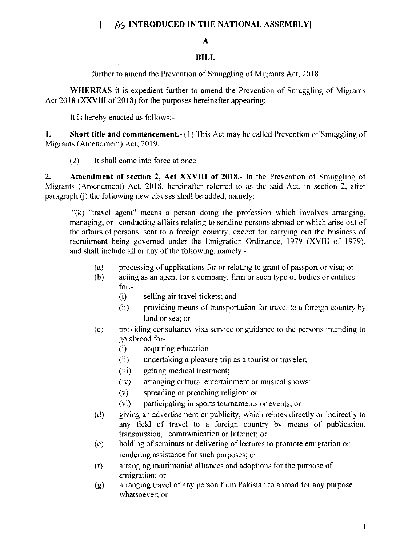## [  $\beta$ ] INTRODUCED IN THE NATIONAL ASSEMBLY]

## BILL

further to amend the Prevention of Smuggling of Migrants Act, 2018

WHEREAS it is expedient further to amend the Prevention of Smuggling of Migrants Act 2018 (XXVIII of 2018) for the purposes hereinafter appearing:

It is hereby enacted as fbllows:-

**1.** Short title and commencement.- (1) This Act may be called Prevention of Smuggling of Migrants (Amendment) Act, 2019.

(2) It shall come into force at once

2. Amendment of section 2, Act XXVIII of 2018.- ln the Prevention of Smuggling of Migrants (Amendment) Act, 2018, hereinafter referred to as the said Act, in section 2, after paragraph  $(i)$  the following new clauses shall be added, namely:-

 $\sqrt[n]{k}$  "travel agent" means a person doing the profession which involves arranging, managing, or conducting affairs relating to sending persons abroad or which arise out of the affairs of persons sent to a foreign country, except for carrying out the business of recruitment being govemed under the Emigration Ordinance, 1979 (XVIll of 1979), and shall include all or any of the following, namcly:-

- (a proccssing of applications for or relating to grant of passport or visa; or
- (b) acting as an agent for a company, firm or such type of bodies or entities for. -
	- (i) selling air travel tickets; and
	- (ii) providing means of transportation for travel to a foreign country by land or sea; or
- $(c)$ providing consultancy visa service or guidance to the persons intending to go abroad for-
	- (i) acquiring education
	- (ii) undertaking a pleasure trip as a tourist or traveler;
	- (iii) getting medical treatment:
	- (iv) arranging cultural entertainment or musical shows,
	- (v) spreading or preaching religion; or
	- (vi) parlicipating in sports tournaments or events: or
- (d) giving an advertisement or publicity, which relates directly or indirectly to any field of travel to a foreign country by means of publication. transmission, communication or Intemet; or
- (e) holding of seminars or delivering of lectures to promote emigration or rendering assistance for such purposes; or
- $(f)$ arranging matrimonial alliances and adoptions for the purpose of emigration; or
- arranging travel of any person from Pakistan to abroad for any purpose whatsoever: or (g)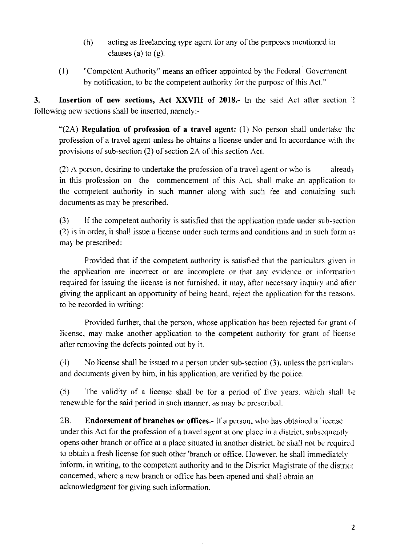- $(h)$  acting as freelancing type agent for any of the purposes mentioned in clauses (a) to  $(g)$ .
- (l) "Competent Authority" means an officer appointed by the Federal Government hy notification, to be the competent authority for the purpose of this Act."

3. Insertion of new sections, Act XXVIII of 2018.- In the said Act after section 2 following new sections shall be inserted, namely:-

"(2A) Regulation of profession of a travel agent: (1) No person shall undertake the profession of a travel agent unless he obtains a license under and in accordance with the provisions of sub-section  $(2)$  of section 2A of this section Act.

 $(2)$  A person, desiring to undertake the profession of a travel agent or who is already in this profession on the commencement of this Act, shall make an application to the competent authority in such manner along with such fee and containing such documents as may be prescribed.

(3) If the competent authority is satisfied that the application made under sub-section  $(2)$  is in order, it shall issue a license under such terms and conditions and in such form as may be prescribed:

Provided that if the competent authority is satisfied that the particulars given in the application are incorrect or are incomplete or that any evidence or information. required for issuing the license is not fumished. it may. after necessary inquiry and afier' giving the applicant an opportunity of being heard, reject the application for the reasons, to be recorded in writing:

Provided further, that the person, whose application has been rejected for grant of license, may make another application to the competent authority for grant of license after removing the defects pointed out by it.

 $(4)$  No license shall be issued to a person under sub-section  $(3)$ , unless the particulars ancl documents given by him, in his application. are verifred by the police.

 $(5)$  The validity of a license shall be for a period of five years. which shall be renewable for the said period in such manner, as may be prescribed.

2B. Endorsement of branches or offices.- If a person, who has obtained a license under this Act for the profession of a travel agent at one place in a district, subsequently opens other branch or office at a place situated in another district. he shall not be rcquircd to obtain a fresh license for such other 'branch or office. However, he shall immediately inform, in writing, to the competent authority and to the District Magistrate of the district concemed. where a new branch or of{ice has been opened and shall obtain an acknowledgment for giving such information.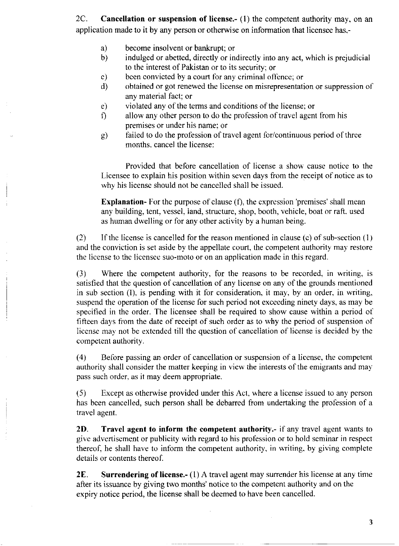2C. **Cancellation or suspension of license.** (1) the competent authority may, on an application made to it by any person or otherwise on information that licensee has.-

- become insolvent or bankrupt; or a)
- indulged or abetted, directly or indirectly into any act, which is prejudicial to the interest of Pakistan or to its security; or b)
- bcen convicted by a court for any criminal offence; or c)
- obtained or got renewed the license on misrepresentation or suppression of any material fact; or d)
- violated any of the terms and conditions of the license; or e)
- allow any other person to do the profession of travel agent from his premises or undcr his name; or  $\mathbf{f}$
- failed to do the profession of travel agent for/continuous period of three months. cancel the license: c)

Provided that before cancellation of license a show' cause notice to the Licensee to explain his position within seven days from the receipt of notice as 1o why his license should not be cancelled shall be issued.

**Explanation-** For the purpose of clause  $(f)$ , the expression 'premises' shall mean any building, tent, vessel, land, structure, shop, booth, vehicle, boat or raft, used as human dwelling or for any other activity by a human being.

(2) If the license is cancelled for the reason mentioned in clause (c) of sub-section  $(1)$ and the conviction is set aside by the appellate court, the competent authority may restore the license to thc licensec suo-moto or on an application made in this regard.

(3) Where the competent authority, for the reasons to be recorded, in writing, is satisfied that the question of cancellation of any license on any of the grounds mentioned in sub section  $(I)$ , is pending with it for consideration, it may, by an order, in writing, suspend the operation of the license for such period not excccding ninety days, as may be specified in the order. The licensee shall be required to show cause within a period of fifteen days from the date of receipt of such order as to why the period of suspension of license may not be extended till the question of cancellation of license is decided by the competent authority.

(4) Before passing an order of cancellation or suspension of a license, the competent authority shall consider the matter keeping in view the interests of the emigrants and may pass such order, as it may deem appropriate.

(5) lixcept as otherwise provided under this Act, where a license issued to any pcrson has been cancelled, such person shall be debarred from undertaking the profession of a travel agent.

2D. Travel agent to inform the competent authority.- if any travel agent wants to give advertisement or publicity with regard to his profession or to hold seminar in respect thereof, he shall have to inform the competent authority, in writing, by giving complete details or contents thereof.

**2E.** Surrendering of license.-  $(1)$  A travel agent may surrender his license at any time after its issuance by giving two months' notice to the competent authority and on the expiry notice period, the license shall be deemed to have been cancelled.

3